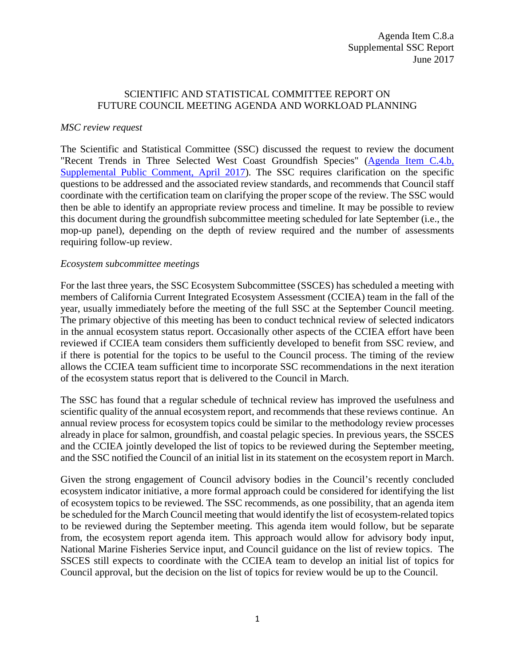## SCIENTIFIC AND STATISTICAL COMMITTEE REPORT ON FUTURE COUNCIL MEETING AGENDA AND WORKLOAD PLANNING

## *MSC review request*

The Scientific and Statistical Committee (SSC) discussed the request to review the document "Recent Trends in Three Selected West Coast Groundfish Species" [\(Agenda Item C.4.b,](http://www.pcouncil.org/wp-content/uploads/2017/03/C4b_Sup_PubCmt_Apr2017BB.pdf)  [Supplemental Public Comment, April 2017\)](http://www.pcouncil.org/wp-content/uploads/2017/03/C4b_Sup_PubCmt_Apr2017BB.pdf). The SSC requires clarification on the specific questions to be addressed and the associated review standards, and recommends that Council staff coordinate with the certification team on clarifying the proper scope of the review. The SSC would then be able to identify an appropriate review process and timeline. It may be possible to review this document during the groundfish subcommittee meeting scheduled for late September (i.e., the mop-up panel), depending on the depth of review required and the number of assessments requiring follow-up review.

## *Ecosystem subcommittee meetings*

For the last three years, the SSC Ecosystem Subcommittee (SSCES) has scheduled a meeting with members of California Current Integrated Ecosystem Assessment (CCIEA) team in the fall of the year, usually immediately before the meeting of the full SSC at the September Council meeting. The primary objective of this meeting has been to conduct technical review of selected indicators in the annual ecosystem status report. Occasionally other aspects of the CCIEA effort have been reviewed if CCIEA team considers them sufficiently developed to benefit from SSC review, and if there is potential for the topics to be useful to the Council process. The timing of the review allows the CCIEA team sufficient time to incorporate SSC recommendations in the next iteration of the ecosystem status report that is delivered to the Council in March.

The SSC has found that a regular schedule of technical review has improved the usefulness and scientific quality of the annual ecosystem report, and recommends that these reviews continue. An annual review process for ecosystem topics could be similar to the methodology review processes already in place for salmon, groundfish, and coastal pelagic species. In previous years, the SSCES and the CCIEA jointly developed the list of topics to be reviewed during the September meeting, and the SSC notified the Council of an initial list in its statement on the ecosystem report in March.

Given the strong engagement of Council advisory bodies in the Council's recently concluded ecosystem indicator initiative, a more formal approach could be considered for identifying the list of ecosystem topics to be reviewed. The SSC recommends, as one possibility, that an agenda item be scheduled for the March Council meeting that would identify the list of ecosystem-related topics to be reviewed during the September meeting. This agenda item would follow, but be separate from, the ecosystem report agenda item. This approach would allow for advisory body input, National Marine Fisheries Service input, and Council guidance on the list of review topics. The SSCES still expects to coordinate with the CCIEA team to develop an initial list of topics for Council approval, but the decision on the list of topics for review would be up to the Council.